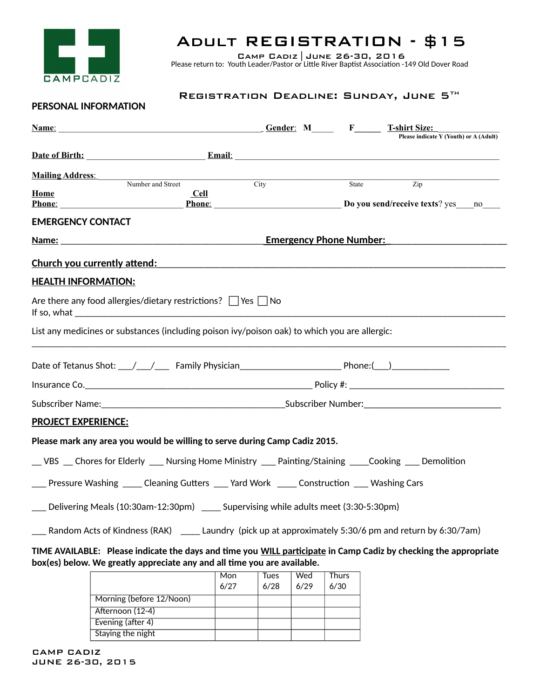

## Adult REGISTRATION - \$15

Camp Cadiz|June 26-30, 2016 Please return to: Youth Leader/Pastor or Little River Baptist Association -149 Old Dover Road

## REGISTRATION DEADLINE: SUNDAY, JUNE 5TH

## **PERSONAL INFORMATION**

| <u>Name: Name:</u> Cender: M <sub>Name</sub> : T-shirt Size:                                                                                                                                                                        |                                                                      |              |                                        |
|-------------------------------------------------------------------------------------------------------------------------------------------------------------------------------------------------------------------------------------|----------------------------------------------------------------------|--------------|----------------------------------------|
|                                                                                                                                                                                                                                     |                                                                      |              | Please indicate Y (Youth) or A (Adult) |
| Date of Birth: <u>Email:</u> Email: Email: 2014                                                                                                                                                                                     |                                                                      |              |                                        |
| <b>Mailing Address:</b>                                                                                                                                                                                                             |                                                                      |              |                                        |
| Number and Street<br>Home<br><b>Cell</b>                                                                                                                                                                                            | City                                                                 | State        | $\overline{Zip}$                       |
| Phone: Phone Phone Phone Phone Phone Phone Phone Phone Phone Phone Phone Phone Phone Phone Phone Phone Phone Phone Phone Phone Phone Phone Phone Phone Phone Phone Phone Phone Phone Phone Phone Phone Phone Phone Phone Phone      |                                                                      |              |                                        |
| <b>EMERGENCY CONTACT</b>                                                                                                                                                                                                            |                                                                      |              |                                        |
|                                                                                                                                                                                                                                     | <b>Emergency Phone Number:</b>                                       |              |                                        |
| <u>Church you currently attend:</u> The same of the same of the same of the same of the same of the same of the same of the same of the same of the same of the same of the same of the same of the same of the same of the same of |                                                                      |              |                                        |
| <b>HEALTH INFORMATION:</b>                                                                                                                                                                                                          |                                                                      |              |                                        |
| Are there any food allergies/dietary restrictions? Ves No                                                                                                                                                                           |                                                                      |              |                                        |
| List any medicines or substances (including poison ivy/poison oak) to which you are allergic:                                                                                                                                       |                                                                      |              |                                        |
| Date of Tetanus Shot: \___/\____/ Family Physician\______________________________ Phone:(\___)\_______________                                                                                                                      |                                                                      |              |                                        |
|                                                                                                                                                                                                                                     |                                                                      |              |                                        |
|                                                                                                                                                                                                                                     |                                                                      |              |                                        |
| <b>PROJECT EXPERIENCE:</b>                                                                                                                                                                                                          |                                                                      |              |                                        |
| Please mark any area you would be willing to serve during Camp Cadiz 2015.                                                                                                                                                          |                                                                      |              |                                        |
| __VBS __ Chores for Elderly ____ Nursing Home Ministry ____ Painting/Staining _____Cooking ____ Demolition                                                                                                                          |                                                                      |              |                                        |
| Pressure Washing _____ Cleaning Gutters ____ Yard Work _____ Construction ____ Washing Cars                                                                                                                                         |                                                                      |              |                                        |
| ___ Delivering Meals (10:30am-12:30pm) ____ Supervising while adults meet (3:30-5:30pm)                                                                                                                                             |                                                                      |              |                                        |
| Random Acts of Kindness (RAK)                                                                                                                                                                                                       | Laundry (pick up at approximately 5:30/6 pm and return by 6:30/7 am) |              |                                        |
| TIME AVAILABLE: Please indicate the days and time you WILL participate in Camp Cadiz by checking the appropriate<br>box(es) below. We greatly appreciate any and all time you are available.                                        |                                                                      |              |                                        |
|                                                                                                                                                                                                                                     | Mon<br>Wed<br>Tues                                                   | <b>Thurs</b> |                                        |

|                          | <b>MON</b> | <b>Tues</b> | vvea | Thurs |
|--------------------------|------------|-------------|------|-------|
|                          | 6/27       | 6/28        | 6/29 | 6/30  |
| Morning (before 12/Noon) |            |             |      |       |
| Afternoon (12-4)         |            |             |      |       |
| Evening (after 4)        |            |             |      |       |
| Staying the night        |            |             |      |       |